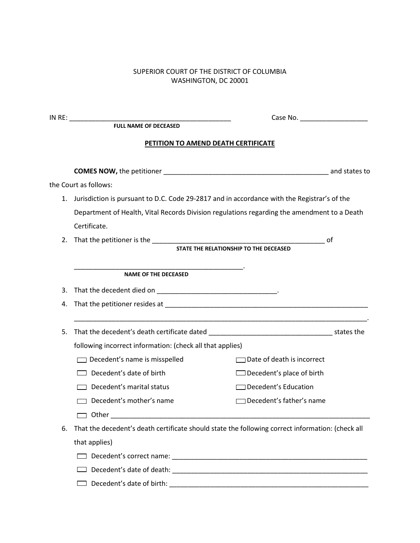## SUPERIOR COURT OF THE DISTRICT OF COLUMBIA WASHINGTON, DC 20001

|    | PETITION TO AMEND DEATH CERTIFICATE                                                              |                                   |  |  |
|----|--------------------------------------------------------------------------------------------------|-----------------------------------|--|--|
|    |                                                                                                  |                                   |  |  |
|    | the Court as follows:                                                                            |                                   |  |  |
|    | 1. Jurisdiction is pursuant to D.C. Code 29-2817 and in accordance with the Registrar's of the   |                                   |  |  |
|    | Department of Health, Vital Records Division regulations regarding the amendment to a Death      |                                   |  |  |
|    | Certificate.                                                                                     |                                   |  |  |
| 2. |                                                                                                  | 0f                                |  |  |
|    |                                                                                                  |                                   |  |  |
|    | <u> 1989 - Johann John Stone, mars et al. (1989)</u><br><b>NAME OF THE DECEASED</b>              |                                   |  |  |
| 3. |                                                                                                  |                                   |  |  |
| 4. |                                                                                                  |                                   |  |  |
| 5. |                                                                                                  |                                   |  |  |
|    | following incorrect information: (check all that applies)                                        |                                   |  |  |
|    | $\Box$ Decedent's name is misspelled                                                             | $\Box$ Date of death is incorrect |  |  |
|    | Decedent's date of birth                                                                         | $\Box$ Decedent's place of birth  |  |  |
|    | $\Box$ Decedent's marital status                                                                 | $\Box$ Decedent's Education       |  |  |
|    | Decedent's mother's name                                                                         | □ Decedent's father's name        |  |  |
|    | Other                                                                                            |                                   |  |  |
| 6. | That the decedent's death certificate should state the following correct information: (check all |                                   |  |  |
|    | that applies)                                                                                    |                                   |  |  |
|    |                                                                                                  |                                   |  |  |
|    |                                                                                                  |                                   |  |  |
|    |                                                                                                  |                                   |  |  |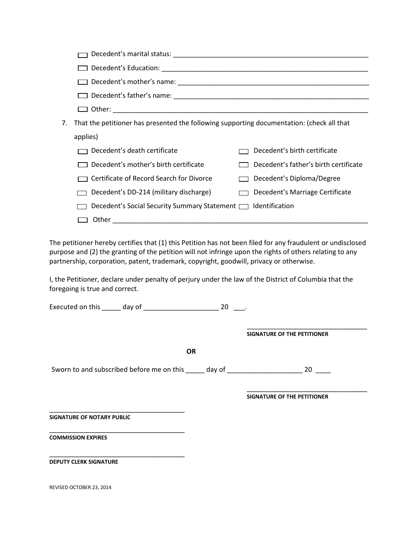| 7. | That the petitioner has presented the following supporting documentation: (check all that |                                       |  |
|----|-------------------------------------------------------------------------------------------|---------------------------------------|--|
|    | applies)                                                                                  |                                       |  |
|    | Decedent's death certificate                                                              | Decedent's birth certificate          |  |
|    | Decedent's mother's birth certificate                                                     | Decedent's father's birth certificate |  |
|    | Certificate of Record Search for Divorce                                                  | Decedent's Diploma/Degree             |  |
|    | Decedent's DD-214 (military discharge)                                                    | Decedent's Marriage Certificate       |  |
|    | Decedent's Social Security Summary Statement [131] Identification                         |                                       |  |
|    | Other                                                                                     |                                       |  |
|    |                                                                                           |                                       |  |

 purpose and (2) the granting of the petition will not infringe upon the rights of others relating to any The petitioner hereby certifies that (1) this Petition has not been filed for any fraudulent or undisclosed partnership, corporation, patent, trademark, copyright, goodwill, privacy or otherwise.

I, the Petitioner, declare under penalty of perjury under the law of the District of Columbia that the foregoing is true and correct.

Executed on this \_\_\_\_\_ day of \_\_\_\_\_\_\_\_\_\_\_\_\_\_\_\_\_\_\_\_ 20 \_\_\_.

\_\_\_\_\_\_\_\_\_\_\_\_\_\_\_\_\_\_\_\_\_\_\_\_\_\_\_\_\_\_\_\_ **SIGNATURE OF THE PETITIONER** 

**OR** 

Sworn to and subscribed before me on this \_\_\_\_\_ day of \_\_\_\_\_\_\_\_\_\_\_\_\_\_\_\_\_\_\_\_\_\_\_\_\_ 20  $\frac{1}{2}$ 

**SIGNATURE OF THE PETITIONER** 

\_\_\_\_\_\_\_\_\_\_\_\_\_\_\_\_\_\_\_\_\_\_\_\_\_\_\_\_\_\_\_\_

\_\_\_\_\_\_\_\_\_\_\_\_\_\_\_\_\_\_\_\_\_\_\_\_\_\_\_\_\_\_\_\_\_\_\_\_ **SIGNATURE OF NOTARY PUBLIC** 

\_\_\_\_\_\_\_\_\_\_\_\_\_\_\_\_\_\_\_\_\_\_\_\_\_\_\_\_\_\_\_\_\_\_\_\_ **COMMISSION EXPIRES** 

**DEPUTY CLERK SIGNATURE** 

\_\_\_\_\_\_\_\_\_\_\_\_\_\_\_\_\_\_\_\_\_\_\_\_\_\_\_\_\_\_\_\_\_\_\_\_

REVISED OCTOBER 23, 2014